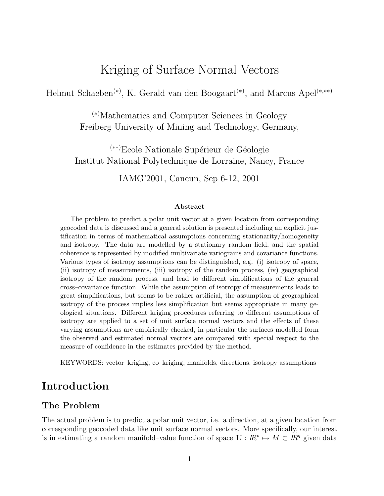# Kriging of Surface Normal Vectors

Helmut Schaeben<sup>(\*)</sup>, K. Gerald van den Boogaart<sup>(\*)</sup>, and Marcus Apel<sup>(\*,\*\*)</sup>

(∗)Mathematics and Computer Sciences in Geology Freiberg University of Mining and Technology, Germany,

<sup>(\*\*)</sup>Ecole Nationale Supérieur de Géologie Institut National Polytechnique de Lorraine, Nancy, France

IAMG'2001, Cancun, Sep 6-12, 2001

#### Abstract

The problem to predict a polar unit vector at a given location from corresponding geocoded data is discussed and a general solution is presented including an explicit justification in terms of mathematical assumptions concerning stationarity/homogeneity and isotropy. The data are modelled by a stationary random field, and the spatial coherence is represented by modified multivariate variograms and covariance functions. Various types of isotropy assumptions can be distinguished, e.g. (i) isotropy of space, (ii) isotropy of measurements, (iii) isotropy of the random process, (iv) geographical isotropy of the random process, and lead to different simplifications of the general cross–covariance function. While the assumption of isotropy of measurements leads to great simplifications, but seems to be rather artificial, the assumption of geographical isotropy of the process implies less simplification but seems appropriate in many geological situations. Different kriging procedures referring to different assumptions of isotropy are applied to a set of unit surface normal vectors and the effects of these varying assumptions are empirically checked, in particular the surfaces modelled form the observed and estimated normal vectors are compared with special respect to the measure of confidence in the estimates provided by the method.

KEYWORDS: vector–kriging, co–kriging, manifolds, directions, isotropy assumptions

### Introduction

#### The Problem

The actual problem is to predict a polar unit vector, i.e. a direction, at a given location from corresponding geocoded data like unit surface normal vectors. More specifically, our interest is in estimating a random manifold–value function of space  $\mathbf{U}: \mathbb{R}^p \mapsto M \subset \mathbb{R}^q$  given data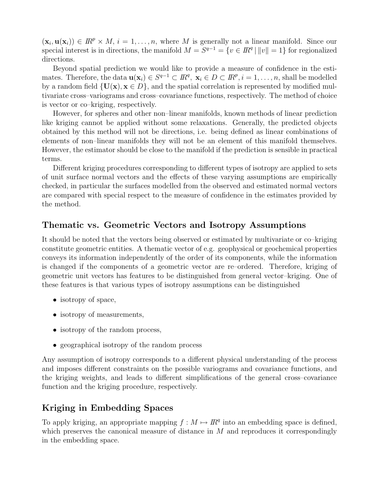$(\mathbf{x}_i, \mathbf{u}(\mathbf{x}_i)) \in \mathbb{R}^p \times M$ ,  $i = 1, \ldots, n$ , where M is generally not a linear manifold. Since our special interest is in directions, the manifold  $M = S^{q-1} = \{v \in \mathbb{R}^q \mid ||v|| = 1\}$  for regionalized directions.

Beyond spatial prediction we would like to provide a measure of confidence in the estimates. Therefore, the data  $\mathbf{u}(\mathbf{x}_i) \in S^{q-1} \subset \mathbb{R}^q$ ,  $\mathbf{x}_i \in D \subset \mathbb{R}^p$ ,  $i = 1, \ldots, n$ , shall be modelled by a random field  $\{U(x), x \in D\}$ , and the spatial correlation is represented by modified multivariate cross–variograms and cross–covariance functions, respectively. The method of choice is vector or co–kriging, respectively.

However, for spheres and other non–linear manifolds, known methods of linear prediction like kriging cannot be applied without some relaxations. Generally, the predicted objects obtained by this method will not be directions, i.e. being defined as linear combinations of elements of non–linear manifolds they will not be an element of this manifold themselves. However, the estimator should be close to the manifold if the prediction is sensible in practical terms.

Different kriging procedures corresponding to different types of isotropy are applied to sets of unit surface normal vectors and the effects of these varying assumptions are empirically checked, in particular the surfaces modelled from the observed and estimated normal vectors are compared with special respect to the measure of confidence in the estimates provided by the method.

### Thematic vs. Geometric Vectors and Isotropy Assumptions

It should be noted that the vectors being observed or estimated by multivariate or co–kriging constitute geometric entities. A thematic vector of e.g. geophysical or geochemical properties conveys its information independently of the order of its components, while the information is changed if the components of a geometric vector are re–ordered. Therefore, kriging of geometric unit vectors has features to be distinguished from general vector–kriging. One of these features is that various types of isotropy assumptions can be distinguished

- isotropy of space,
- isotropy of measurements,
- isotropy of the random process,
- geographical isotropy of the random process

Any assumption of isotropy corresponds to a different physical understanding of the process and imposes different constraints on the possible variograms and covariance functions, and the kriging weights, and leads to different simplifications of the general cross–covariance function and the kriging procedure, respectively.

### Kriging in Embedding Spaces

To apply kriging, an appropriate mapping  $f : M \mapsto \mathbb{R}^q$  into an embedding space is defined, which preserves the canonical measure of distance in  $M$  and reproduces it correspondingly in the embedding space.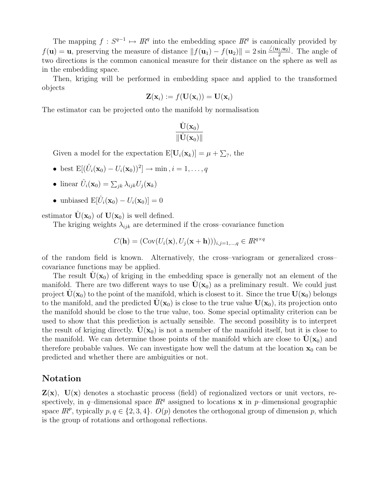The mapping  $f: S^{q-1} \mapsto \mathbb{R}^q$  into the embedding space  $\mathbb{R}^q$  is canonically provided by  $f(\mathbf{u}) = \mathbf{u}$ , preserving the measure of distance  $|| f(\mathbf{u}_1) - f(\mathbf{u}_2)|| = 2 \sin \frac{\angle(\mathbf{u}_1, \mathbf{u}_2)}{2}$ . The angle of two directions is the common canonical measure for their distance on the sphere as well as in the embedding space.

Then, kriging will be performed in embedding space and applied to the transformed objects

$$
\mathbf{Z}(\mathbf{x}_i) := f(\mathbf{U}(\mathbf{x}_i)) = \mathbf{U}(\mathbf{x}_i)
$$

The estimator can be projected onto the manifold by normalisation

$$
\frac{\hat{\mathbf{U}}(\mathbf{x}_0)}{\|\hat{\mathbf{U}}(\mathbf{x}_0)\|}
$$

Given a model for the expectation  $E[\mathbf{U}_i(\mathbf{x}_k)] = \mu + \sum_{i=1}^{k} h_i$ ,

- best  $\mathbb{E}[(\hat{U}_i(\mathbf{x}_0) U_i(\mathbf{x}_0))^2] \to \min, i = 1, \dots, q$
- linear  $\hat{U}_i(\mathbf{x}_0) = \sum_{jk} \lambda_{ijk} U_j(\mathbf{x}_k)$
- unbiased  $E[\hat{U}_i(\mathbf{x}_0) U_i(\mathbf{x}_0)] = 0$

estimator  $\dot{\mathbf{U}}(\mathbf{x}_0)$  of  $\mathbf{U}(\mathbf{x}_0)$  is well defined.

The kriging weights  $\lambda_{ijk}$  are determined if the cross–covariance function

$$
C(\mathbf{h}) = (\text{Cov}(U_i(\mathbf{x}), U_j(\mathbf{x} + \mathbf{h})))_{i,j=1,\dots,q} \in \mathbb{R}^{q \times q}
$$

of the random field is known. Alternatively, the cross–variogram or generalized cross– covariance functions may be applied.

The result  $U(\mathbf{x}_0)$  of kriging in the embedding space is generally not an element of the manifold. There are two different ways to use  $U(\mathbf{x}_0)$  as a preliminary result. We could just project  $\mathbf{U}(\mathbf{x}_0)$  to the point of the manifold, which is closest to it. Since the true  $\mathbf{U}(\mathbf{x}_0)$  belongs to the manifold, and the predicted  $\mathbf{U}(\mathbf{x}_0)$  is close to the true value  $\mathbf{U}(\mathbf{x}_0)$ , its projection onto the manifold should be close to the true value, too. Some special optimality criterion can be used to show that this prediction is actually sensible. The second possiblity is to interpret the result of kriging directly.  $\mathbf{U}(\mathbf{x}_0)$  is not a member of the manifold itself, but it is close to the manifold. We can determine those points of the manifold which are close to  $U(\mathbf{x}_0)$  and therefore probable values. We can investigate how well the datum at the location  $x_0$  can be predicted and whether there are ambiguities or not.

#### Notation

 $\mathbf{Z}(\mathbf{x})$ ,  $\mathbf{U}(\mathbf{x})$  denotes a stochastic process (field) of regionalized vectors or unit vectors, respectively, in q-dimensional space  $\mathbb{R}^q$  assigned to locations **x** in p-dimensional geographic space  $\mathbb{R}^p$ , typically  $p, q \in \{2, 3, 4\}$ .  $O(p)$  denotes the orthogonal group of dimension p, which is the group of rotations and orthogonal reflections.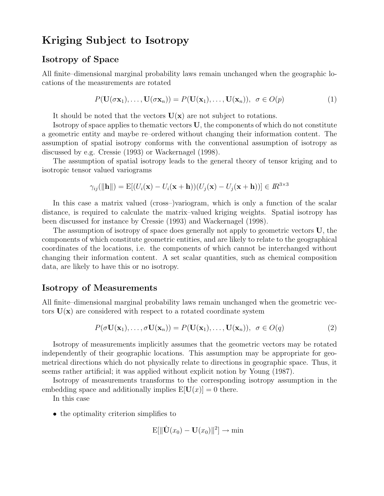## Kriging Subject to Isotropy

#### Isotropy of Space

All finite–dimensional marginal probability laws remain unchanged when the geographic locations of the measurements are rotated

$$
P(\mathbf{U}(\sigma \mathbf{x}_1), \dots, \mathbf{U}(\sigma \mathbf{x}_n)) = P(\mathbf{U}(\mathbf{x}_1), \dots, \mathbf{U}(\mathbf{x}_n)), \ \sigma \in O(p)
$$
 (1)

It should be noted that the vectors  $U(x)$  are not subject to rotations.

Isotropy of space applies to thematic vectors U, the components of which do not constitute a geometric entity and maybe re–ordered without changing their information content. The assumption of spatial isotropy conforms with the conventional assumption of isotropy as discussed by e.g. Cressie (1993) or Wackernagel (1998).

The assumption of spatial isotropy leads to the general theory of tensor kriging and to isotropic tensor valued variograms

$$
\gamma_{ij}(\|\mathbf{h}\|) = \mathbf{E}[(U_i(\mathbf{x}) - U_i(\mathbf{x} + \mathbf{h}))(U_j(\mathbf{x}) - U_j(\mathbf{x} + \mathbf{h}))] \in I\!\!R^{3 \times 3}
$$

In this case a matrix valued (cross–)variogram, which is only a function of the scalar distance, is required to calculate the matrix–valued kriging weights. Spatial isotropy has been discussed for instance by Cressie (1993) and Wackernagel (1998).

The assumption of isotropy of space does generally not apply to geometric vectors U, the components of which constitute geometric entities, and are likely to relate to the geographical coordinates of the locations, i.e. the components of which cannot be interchanged without changing their information content. A set scalar quantities, such as chemical composition data, are likely to have this or no isotropy.

#### Isotropy of Measurements

All finite–dimensional marginal probability laws remain unchanged when the geometric vectors  $U(x)$  are considered with respect to a rotated coordinate system

$$
P(\sigma \mathbf{U}(\mathbf{x}_1), \dots, \sigma \mathbf{U}(\mathbf{x}_n)) = P(\mathbf{U}(\mathbf{x}_1), \dots, \mathbf{U}(\mathbf{x}_n)), \ \sigma \in O(q)
$$
\n(2)

Isotropy of measurements implicitly assumes that the geometric vectors may be rotated independently of their geographic locations. This assumption may be appropriate for geometrical directions which do not physically relate to directions in geographic space. Thus, it seems rather artificial; it was applied without explicit notion by Young (1987).

Isotropy of measurements transforms to the corresponding isotropy assumption in the embedding space and additionally implies  $E[U(x)] = 0$  there.

In this case

• the optimality criterion simplifies to

$$
\mathrm{E}[\|\hat{\mathbf{U}}(x_0)-\mathbf{U}(x_0)\|^2]\to \min
$$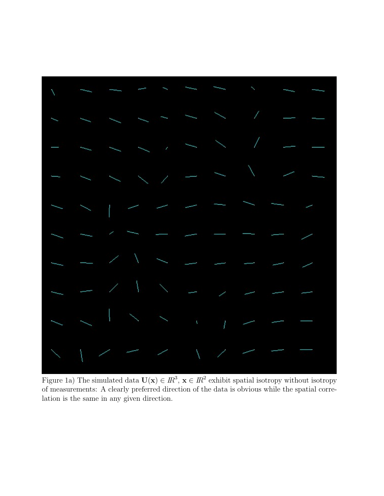

Figure 1a) The simulated data  $\mathbf{U}(\mathbf{x}) \in I\mathbb{R}^3$ ,  $\mathbf{x} \in I\mathbb{R}^2$  exhibit spatial isotropy without isotropy of measurements: A clearly preferred direction of the data is obvious while the spatial correlation is the same in any given direction.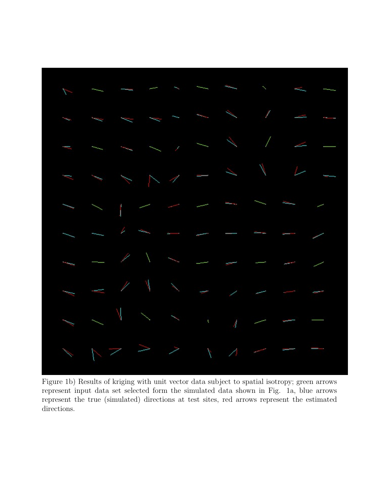

Figure 1b) Results of kriging with unit vector data subject to spatial isotropy; green arrows represent input data set selected form the simulated data shown in Fig. 1a, blue arrows represent the true (simulated) directions at test sites, red arrows represent the estimated directions.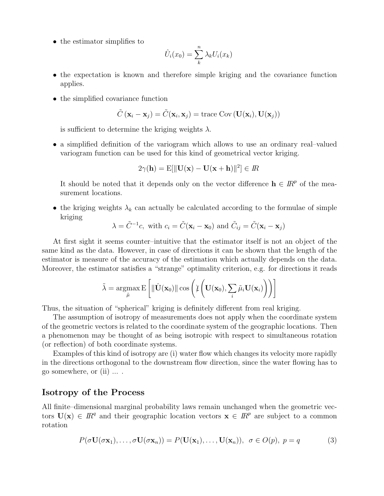• the estimator simplifies to

$$
\hat{U}_i(x_0) = \sum_{k}^{n} \lambda_k U_i(x_k)
$$

- the expectation is known and therefore simple kriging and the covariance function applies.
- the simplified covariance function

$$
\tilde{C}(\mathbf{x}_i - \mathbf{x}_j) = \tilde{C}(\mathbf{x}_i, \mathbf{x}_j) = \text{trace Cov}(\mathbf{U}(\mathbf{x}_i), \mathbf{U}(\mathbf{x}_j))
$$

is sufficient to determine the kriging weights  $\lambda$ .

• a simplified definition of the variogram which allows to use an ordinary real–valued variogram function can be used for this kind of geometrical vector kriging.

$$
2\gamma(\mathbf{h}) = \mathrm{E}[\|\mathbf{U}(\mathbf{x}) - \mathbf{U}(\mathbf{x} + \mathbf{h})\|^2] \in I\!\!R
$$

It should be noted that it depends only on the vector difference  $\mathbf{h} \in \mathbb{R}^p$  of the measurement locations.

• the kriging weights  $\lambda_k$  can actually be calculated according to the formulae of simple kriging

$$
\lambda = \tilde{C}^{-1}c
$$
, with  $c_i = \tilde{C}(\mathbf{x}_i - \mathbf{x}_0)$  and  $\tilde{C}_{ij} = \tilde{C}(\mathbf{x}_i - \mathbf{x}_j)$ 

At first sight it seems counter–intuitive that the estimator itself is not an object of the same kind as the data. However, in case of directions it can be shown that the length of the estimator is measure of the accuracy of the estimation which actually depends on the data. Moreover, the estimator satisfies a "strange" optimality criterion, e.g. for directions it reads

$$
\tilde{\lambda} = \operatorname*{argmax}_{\tilde{\mu}} \mathrm{E}\left[\|\hat{\mathbf{U}}(\mathbf{x}_0)\| \cos \left(\mu \left(\mathbf{U}(\mathbf{x}_0), \sum_i \tilde{\mu}_i \mathbf{U}(\mathbf{x}_i)\right)\right)\right]
$$

Thus, the situation of "spherical" kriging is definitely different from real kriging.

The assumption of isotropy of measurements does not apply when the coordinate system of the geometric vectors is related to the coordinate system of the geographic locations. Then a phenomenon may be thought of as being isotropic with respect to simultaneous rotation (or reflection) of both coordinate systems.

Examples of this kind of isotropy are (i) water flow which changes its velocity more rapidly in the directions orthogonal to the downstream flow direction, since the water flowing has to go somewhere, or (ii) ... .

#### Isotropy of the Process

All finite–dimensional marginal probability laws remain unchanged when the geometric vectors  $\mathbf{U}(\mathbf{x}) \in \mathbb{R}^q$  and their geographic location vectors  $\mathbf{x} \in \mathbb{R}^p$  are subject to a common rotation

$$
P(\sigma \mathbf{U}(\sigma \mathbf{x}_1), \dots, \sigma \mathbf{U}(\sigma \mathbf{x}_n)) = P(\mathbf{U}(\mathbf{x}_1), \dots, \mathbf{U}(\mathbf{x}_n)), \ \sigma \in O(p), \ p = q
$$
 (3)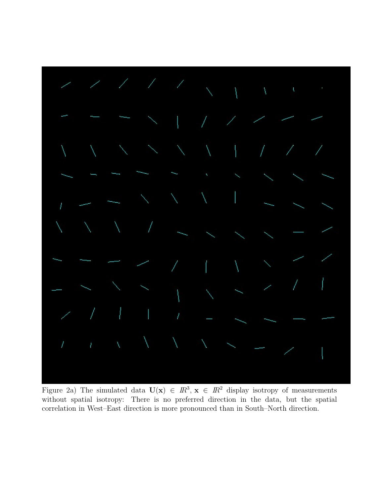

Figure 2a) The simulated data  $U(x) \in \mathbb{R}^3$ ,  $x \in \mathbb{R}^2$  display isotropy of measurements without spatial isotropy: There is no preferred direction in the data, but the spatial correlation in West–East direction is more pronounced than in South–North direction.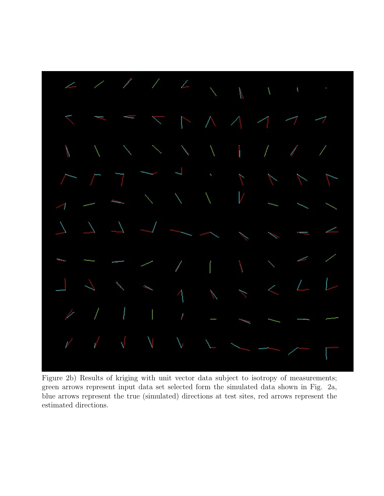

Figure 2b) Results of kriging with unit vector data subject to isotropy of measurements; green arrows represent input data set selected form the simulated data shown in Fig. 2a, blue arrows represent the true (simulated) directions at test sites, red arrows represent the estimated directions.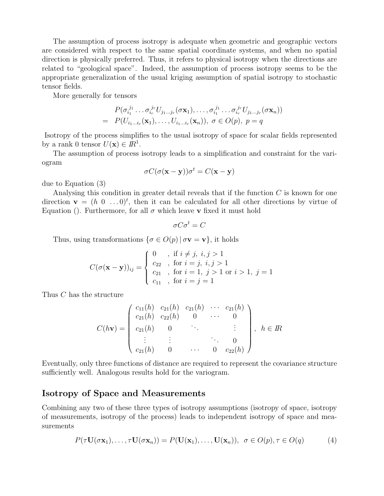The assumption of process isotropy is adequate when geometric and geographic vectors are considered with respect to the same spatial coordinate systems, and when no spatial direction is physically preferred. Thus, it refers to physical isotropy when the directions are related to "geological space". Indeed, the assumption of process isotropy seems to be the appropriate generalization of the usual kriging assumption of spatial isotropy to stochastic tensor fields.

More generally for tensors

$$
P(\sigma_{i_1}^{j_1} \dots \sigma_{i_r}^{j_r} U_{j_1 \dots j_r}(\sigma \mathbf{x}_1), \dots, \sigma_{i_1}^{j_1} \dots \sigma_{i_r}^{j_r} U_{j_1 \dots j_r}(\sigma \mathbf{x}_n))
$$
  
=  $P(U_{i_1 \dots i_r}(\mathbf{x}_1), \dots, U_{i_1 \dots i_r}(\mathbf{x}_n)), \ \sigma \in O(p), \ p = q$ 

Isotropy of the process simplifies to the usual isotropy of space for scalar fields represented by a rank 0 tensor  $U(\mathbf{x}) \in \mathbb{R}^1$ .

The assumption of process isotropy leads to a simplification and constraint for the variogram

$$
\sigma C(\sigma(\mathbf{x} - \mathbf{y}))\sigma^t = C(\mathbf{x} - \mathbf{y})
$$

due to Equation (3)

Analysing this condition in greater detail reveals that if the function  $C$  is known for one direction  $\mathbf{v} = (h \ 0 \ \ldots 0)^t$ , then it can be calculated for all other directions by virtue of Equation (). Furthermore, for all  $\sigma$  which leave **v** fixed it must hold

$$
\sigma C \sigma^t = C
$$

Thus, using transformations  $\{\sigma \in O(p) | \sigma v = v\}$ , it holds

$$
C(\sigma(\mathbf{x} - \mathbf{y}))_{ij} = \begin{cases} 0, & \text{if } i \neq j, i, j > 1 \\ c_{22}, & \text{for } i = j, i, j > 1 \\ c_{21}, & \text{for } i = 1, j > 1 \text{ or } i > 1, j = 1 \\ c_{11}, & \text{for } i = j = 1 \end{cases}
$$

Thus C has the structure

$$
C(h\mathbf{v}) = \begin{pmatrix} c_{11}(h) & c_{21}(h) & c_{21}(h) & \cdots & c_{21}(h) \\ c_{21}(h) & c_{22}(h) & 0 & \cdots & 0 \\ c_{21}(h) & 0 & \ddots & & \vdots \\ \vdots & \vdots & & \ddots & 0 \\ c_{21}(h) & 0 & \cdots & 0 & c_{22}(h) \end{pmatrix}, \quad h \in \mathbb{R}
$$

Eventually, only three functions of distance are required to represent the covariance structure sufficiently well. Analogous results hold for the variogram.

#### Isotropy of Space and Measurements

Combining any two of these three types of isotropy assumptions (isotropy of space, isotropy of measurements, isotropy of the process) leads to independent isotropy of space and measurements

$$
P(\tau \mathbf{U}(\sigma \mathbf{x}_1), \dots, \tau \mathbf{U}(\sigma \mathbf{x}_n)) = P(\mathbf{U}(\mathbf{x}_1), \dots, \mathbf{U}(\mathbf{x}_n)), \ \sigma \in O(p), \tau \in O(q) \tag{4}
$$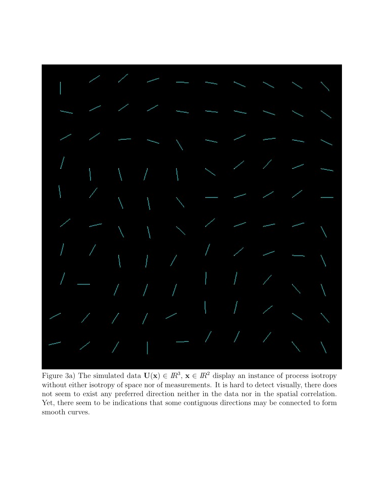

Figure 3a) The simulated data  $U(x) \in I\mathbb{R}^3$ ,  $x \in I\mathbb{R}^2$  display an instance of process isotropy without either isotropy of space nor of measurements. It is hard to detect visually, there does not seem to exist any preferred direction neither in the data nor in the spatial correlation. Yet, there seem to be indications that some contiguous directions may be connected to form smooth curves.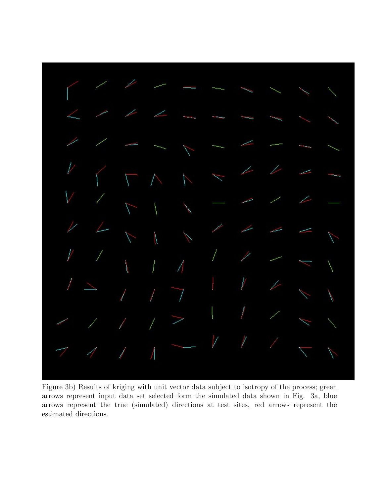I

Figure 3b) Results of kriging with unit vector data subject to isotropy of the process; green arrows represent input data set selected form the simulated data shown in Fig. 3a, blue arrows represent the true (simulated) directions at test sites, red arrows represent the estimated directions.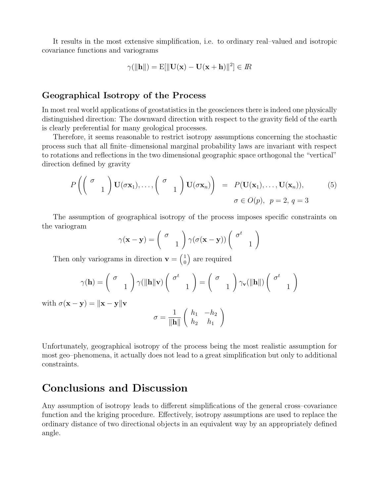It results in the most extensive simplification, i.e. to ordinary real–valued and isotropic covariance functions and variograms

$$
\gamma(\|\mathbf{h}\|) = \mathrm{E}[\|\mathbf{U}(\mathbf{x}) - \mathbf{U}(\mathbf{x} + \mathbf{h})\|^2] \in \mathbb{R}
$$

#### Geographical Isotropy of the Process

In most real world applications of geostatistics in the geosciences there is indeed one physically distinguished direction: The downward direction with respect to the gravity field of the earth is clearly preferential for many geological processes.

Therefore, it seems reasonable to restrict isotropy assumptions concerning the stochastic process such that all finite–dimensional marginal probability laws are invariant with respect to rotations and reflections in the two dimensional geographic space orthogonal the "vertical" direction defined by gravity

$$
P\left(\begin{pmatrix} \sigma & 0 \ 0 & 1 \end{pmatrix} \mathbf{U}(\sigma \mathbf{x}_1), \dots, \begin{pmatrix} \sigma & 0 \ 0 & 1 \end{pmatrix} \mathbf{U}(\sigma \mathbf{x}_n)\right) = P(\mathbf{U}(\mathbf{x}_1), \dots, \mathbf{U}(\mathbf{x}_n)),
$$
\n
$$
\sigma \in O(p), \quad p = 2, \quad q = 3
$$
\n(5)

The assumption of geographical isotropy of the process imposes specific constraints on the variogram

$$
\gamma(\mathbf{x} - \mathbf{y}) = \begin{pmatrix} \sigma \\ 1 \end{pmatrix} \gamma(\sigma(\mathbf{x} - \mathbf{y})) \begin{pmatrix} \sigma^t \\ 1 \end{pmatrix}
$$

Then only variograms in direction  $\mathbf{v} = \begin{pmatrix} 1 \\ 0 \end{pmatrix}$  $\binom{1}{0}$  are required

$$
\gamma(\mathbf{h}) = \begin{pmatrix} \sigma \\ 1 \end{pmatrix} \gamma(\|\mathbf{h}\| \mathbf{v}) \begin{pmatrix} \sigma^t \\ 1 \end{pmatrix} = \begin{pmatrix} \sigma \\ 1 \end{pmatrix} \gamma_{\mathbf{v}}(\|\mathbf{h}\|) \begin{pmatrix} \sigma^t \\ 1 \end{pmatrix}
$$

with  $\sigma(\mathbf{x} - \mathbf{y}) = ||\mathbf{x} - \mathbf{y}||\mathbf{y}$ 

$$
\sigma = \frac{1}{\|\mathbf{h}\|} \left( \begin{array}{cc} h_1 & -h_2 \\ h_2 & h_1 \end{array} \right)
$$

Unfortunately, geographical isotropy of the process being the most realistic assumption for most geo–phenomena, it actually does not lead to a great simplification but only to additional constraints.

### Conclusions and Discussion

Any assumption of isotropy leads to different simplifications of the general cross–covariance function and the kriging procedure. Effectively, isotropy assumptions are used to replace the ordinary distance of two directional objects in an equivalent way by an appropriately defined angle.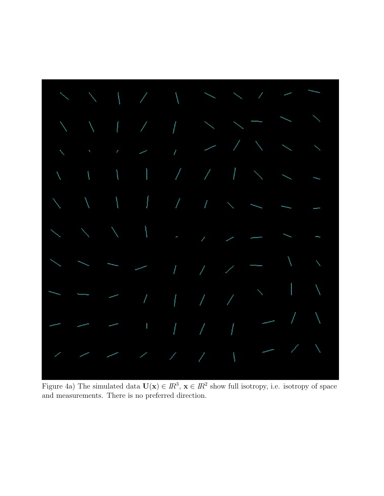

Figure 4a) The simulated data  $U(x) \in I\mathbb{R}^3$ ,  $x \in I\mathbb{R}^2$  show full isotropy, i.e. isotropy of space and measurements. There is no preferred direction.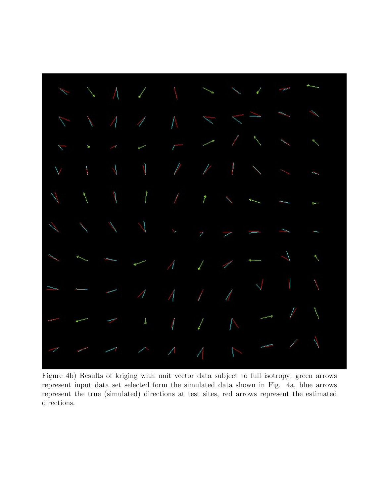

Figure 4b) Results of kriging with unit vector data subject to full isotropy; green arrows represent input data set selected form the simulated data shown in Fig. 4a, blue arrows represent the true (simulated) directions at test sites, red arrows represent the estimated directions.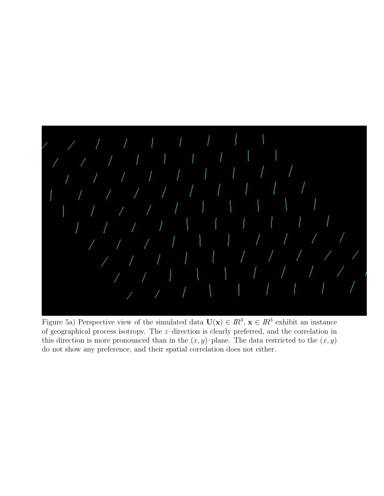

Figure 5a) Perspective view of the simulated data  $U(x) \in I\!R^3$ ,  $x \in I\!R^3$  exhibit an instance of geographical process isotropy. The z–direction is clearly preferred, and the correlation in this direction is more pronounced than in the  $(x, y)$ –plane. The data restricted to the  $(x, y)$ do not show any preference, and their spatial correlation does not either.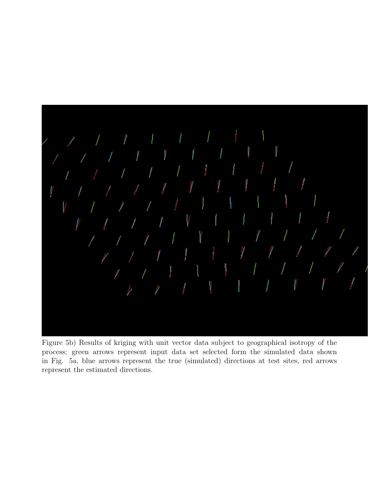

Figure 5b) Results of kriging with unit vector data subject to geographical isotropy of the process; green arrows represent input data set selected form the simulated data shown in Fig. 5a, blue arrows represent the true (simulated) directions at test sites, red arrows represent the estimated directions.